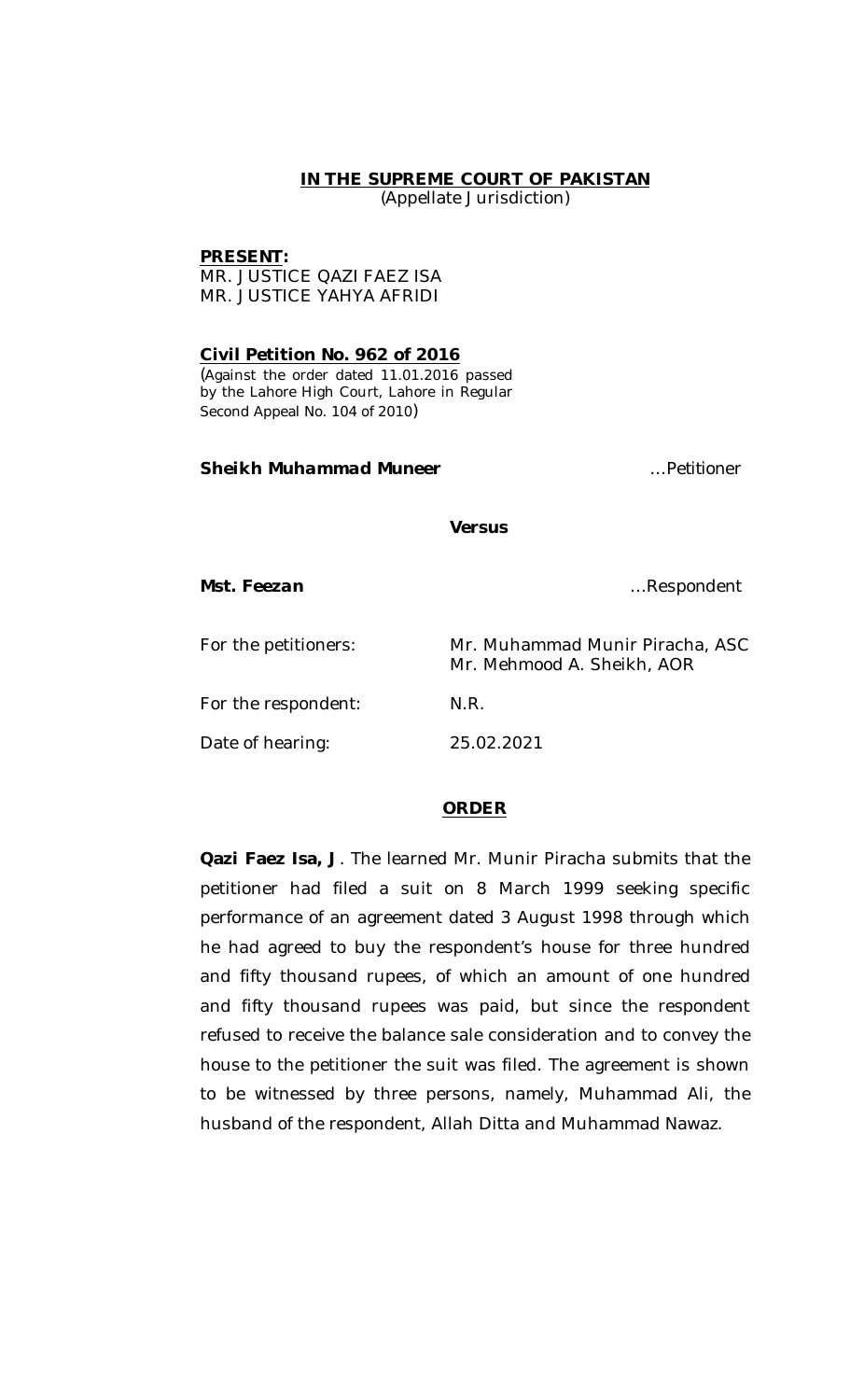### **IN THE SUPREME COURT OF PAKISTAN**

(Appellate Jurisdiction)

#### **PRESENT:**

MR. JUSTICE QAZI FAEZ ISA MR. JUSTICE YAHYA AFRIDI

**Civil Petition No. 962 of 2016** (Against the order dated 11.01.2016 passed by the Lahore High Court, Lahore in Regular Second Appeal No. 104 of 2010)

# *Sheikh Muhammad Muneer …Petitioner*

*Versus*

*Mst. Feezan …Respondent*

| For the petitioners: | Mr. Muhammad Munir Piracha, ASC<br>Mr. Mehmood A. Sheikh, AOR |
|----------------------|---------------------------------------------------------------|
| For the respondent:  | N.R.                                                          |
| Date of hearing:     | 25.02.2021                                                    |

# **ORDER**

**Qazi Faez Isa, J**. The learned Mr. Munir Piracha submits that the petitioner had filed a suit on 8 March 1999 seeking specific performance of an agreement dated 3 August 1998 through which he had agreed to buy the respondent's house for three hundred and fifty thousand rupees, of which an amount of one hundred and fifty thousand rupees was paid, but since the respondent refused to receive the balance sale consideration and to convey the house to the petitioner the suit was filed. The agreement is shown to be witnessed by three persons, namely, Muhammad Ali, the husband of the respondent, Allah Ditta and Muhammad Nawaz.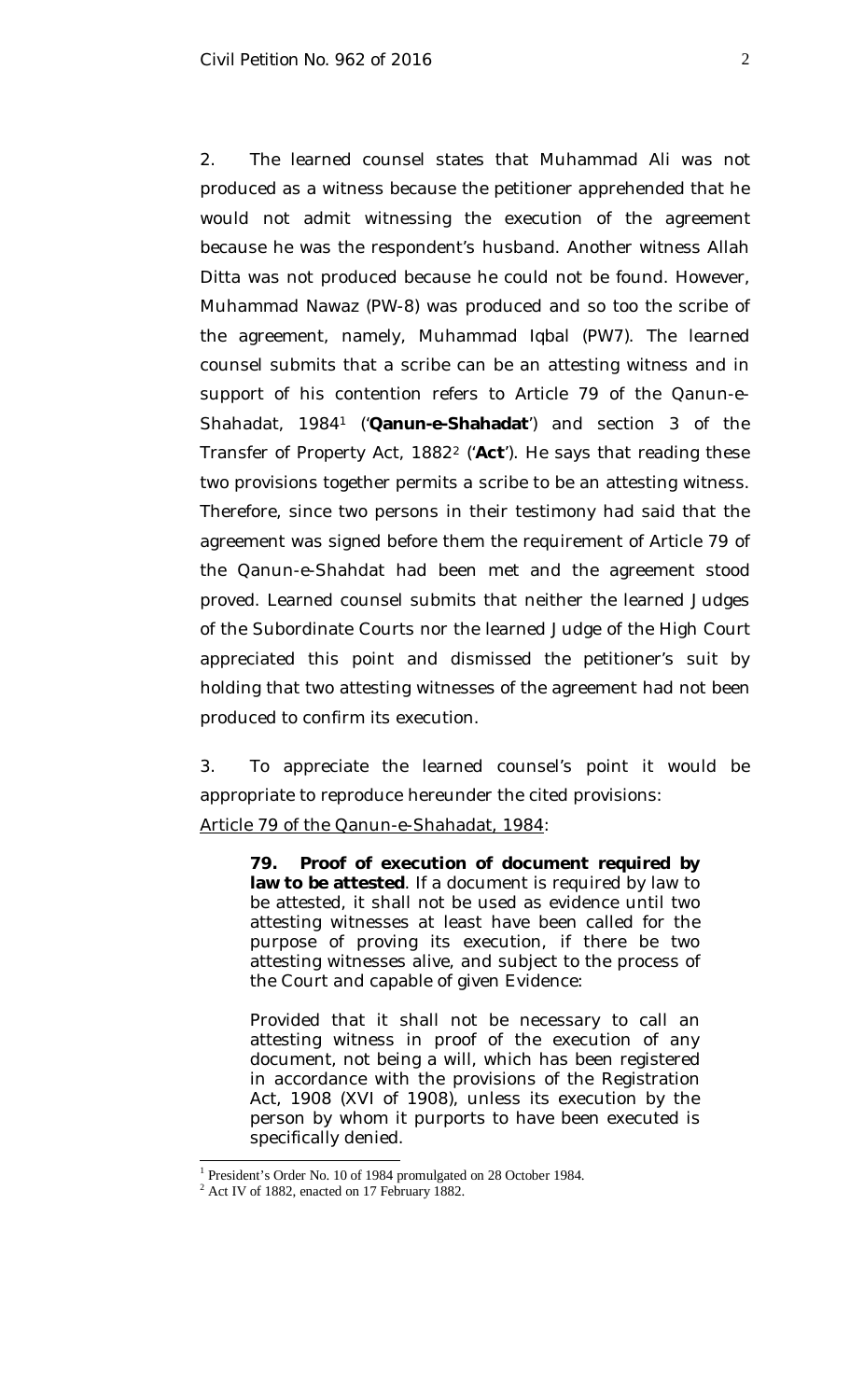2. The learned counsel states that Muhammad Ali was not produced as a witness because the petitioner apprehended that he would not admit witnessing the execution of the agreement because he was the respondent's husband. Another witness Allah Ditta was not produced because he could not be found. However, Muhammad Nawaz (PW-8) was produced and so too the scribe of the agreement, namely, Muhammad Iqbal (PW7). The learned counsel submits that a scribe can be an attesting witness and in support of his contention refers to Article 79 of the Qanun-e-Shahadat, 1984<sup>1</sup> ('**Qanun-e-Shahadat**') and section 3 of the Transfer of Property Act, 1882<sup>2</sup> ('**Act**'). He says that reading these two provisions together permits a scribe to be an attesting witness. Therefore, since two persons in their testimony had said that the agreement was signed before them the requirement of Article 79 of the Qanun-e-Shahdat had been met and the agreement stood proved. Learned counsel submits that neither the learned Judges of the Subordinate Courts nor the learned Judge of the High Court appreciated this point and dismissed the petitioner's suit by holding that two attesting witnesses of the agreement had not been produced to confirm its execution.

3. To appreciate the learned counsel's point it would be appropriate to reproduce hereunder the cited provisions:

Article 79 of the Qanun-e-Shahadat, 1984:

**79. Proof of execution of document required by law to be attested**. If a document is required by law to be attested, it shall not be used as evidence until two attesting witnesses at least have been called for the purpose of proving its execution, if there be two attesting witnesses alive, and subject to the process of the Court and capable of given Evidence:

Provided that it shall not be necessary to call an attesting witness in proof of the execution of any document, not being a will, which has been registered in accordance with the provisions of the Registration Act, 1908 (XVI of 1908), unless its execution by the person by whom it purports to have been executed is specifically denied.

<sup>&</sup>lt;sup>1</sup> President's Order No. 10 of 1984 promulgated on 28 October 1984.

<sup>&</sup>lt;sup>2</sup> Act IV of 1882, enacted on 17 February 1882.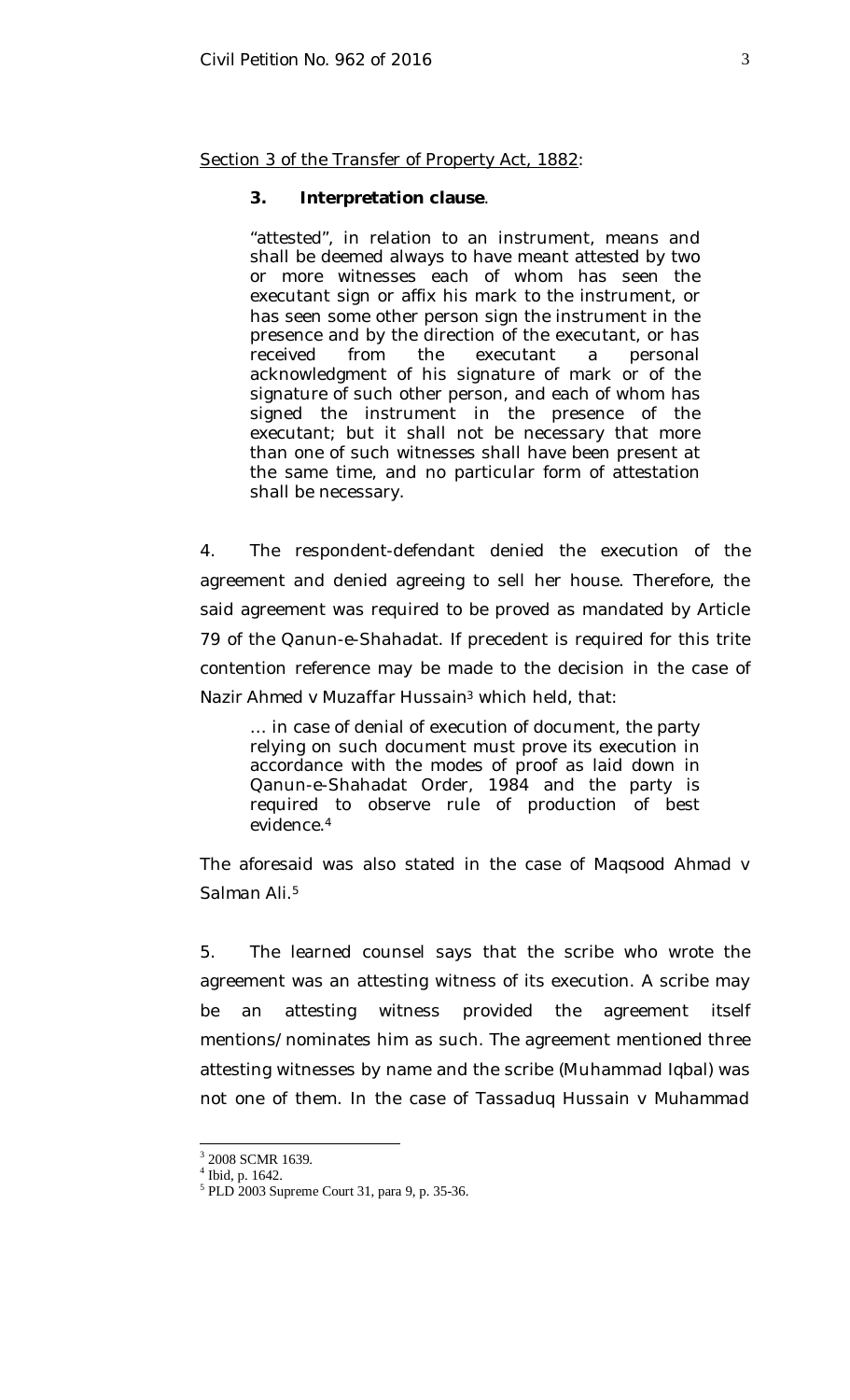Section 3 of the Transfer of Property Act, 1882:

#### **3. Interpretation clause**.

"attested", in relation to an instrument, means and shall be deemed always to have meant attested by two or more witnesses each of whom has seen the executant sign or affix his mark to the instrument, or has seen some other person sign the instrument in the presence and by the direction of the executant, or has received from the executant a personal acknowledgment of his signature of mark or of the signature of such other person, and each of whom has signed the instrument in the presence of the executant; but it shall not be necessary that more than one of such witnesses shall have been present at the same time, and no particular form of attestation shall be necessary.

4. The respondent-defendant denied the execution of the agreement and denied agreeing to sell her house. Therefore, the said agreement was required to be proved as mandated by Article 79 of the Qanun-e-Shahadat. If precedent is required for this trite contention reference may be made to the decision in the case of *Nazir Ahmed v Muzaffar Hussain*<sup>3</sup> which held, that:

… in case of denial of execution of document, the party relying on such document must prove its execution in accordance with the modes of proof as laid down in Qanun-e-Shahadat Order, 1984 and the party is required to observe rule of production of best evidence.<sup>4</sup>

The aforesaid was also stated in the case of *Maqsood Ahmad v Salman Ali*. 5

5. The learned counsel says that the scribe who wrote the agreement was an attesting witness of its execution. A scribe may be an attesting witness provided the agreement itself mentions/nominates him as such. The agreement mentioned three attesting witnesses by name and the scribe (Muhammad Iqbal) was not one of them. In the case of *Tassaduq Hussain v Muhammad* 

<sup>&</sup>lt;sup>3</sup> 2008 SCMR 1639.

<sup>4</sup> Ibid, p. 1642.

<sup>5</sup> PLD 2003 Supreme Court 31, para 9, p. 35-36.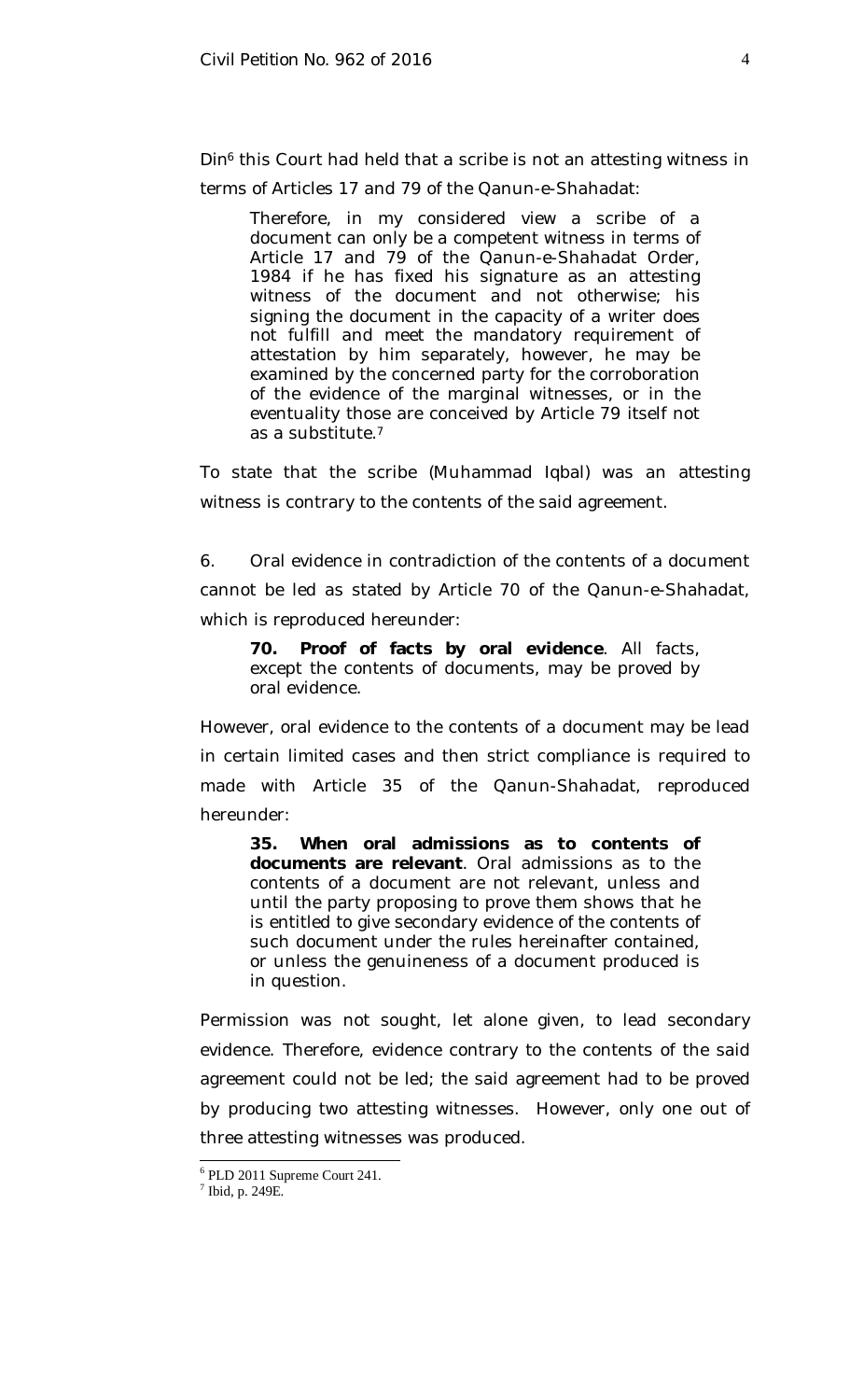*Din*<sup>6</sup> this Court had held that a scribe is not an attesting witness in terms of Articles 17 and 79 of the Qanun-e-Shahadat:

Therefore, in my considered view a scribe of a document can only be a competent witness in terms of Article 17 and 79 of the Qanun-e-Shahadat Order, 1984 if he has fixed his signature as an attesting witness of the document and not otherwise; his signing the document in the capacity of a writer does not fulfill and meet the mandatory requirement of attestation by him separately, however, he may be examined by the concerned party for the corroboration of the evidence of the marginal witnesses, or in the eventuality those are conceived by Article 79 itself not as a substitute.<sup>7</sup>

To state that the scribe (Muhammad Iqbal) was an attesting witness is contrary to the contents of the said agreement.

6. Oral evidence in contradiction of the contents of a document cannot be led as stated by Article 70 of the Qanun-e-Shahadat, which is reproduced hereunder:

**70. Proof of facts by oral evidence**. All facts, except the contents of documents, may be proved by oral evidence.

However, oral evidence to the contents of a document may be lead in certain limited cases and then strict compliance is required to made with Article 35 of the Qanun-Shahadat, reproduced hereunder:

**35. When oral admissions as to contents of documents are relevant**. Oral admissions as to the contents of a document are not relevant, unless and until the party proposing to prove them shows that he is entitled to give secondary evidence of the contents of such document under the rules hereinafter contained, or unless the genuineness of a document produced is in question.

Permission was not sought, let alone given, to lead secondary evidence. Therefore, evidence contrary to the contents of the said agreement could not be led; the said agreement had to be proved by producing two attesting witnesses. However, only one out of three attesting witnesses was produced.

<sup>6</sup> PLD 2011 Supreme Court 241.

 $<sup>7</sup>$  Ibid, p. 249E.</sup>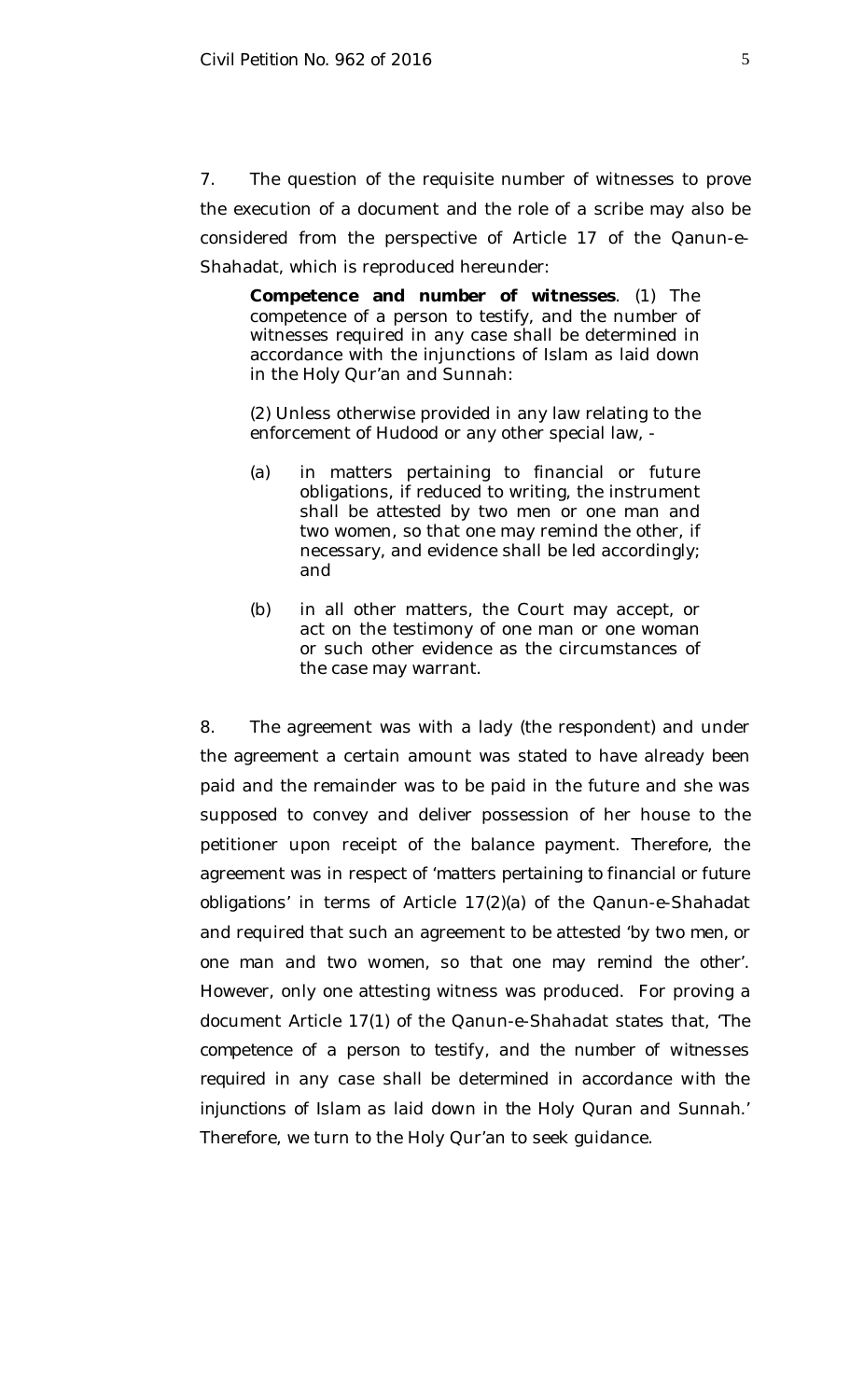7. The question of the requisite number of witnesses to prove the execution of a document and the role of a scribe may also be considered from the perspective of Article 17 of the Qanun-e-Shahadat, which is reproduced hereunder:

**Competence and number of witnesses**. (1) The competence of a person to testify, and the number of witnesses required in any case shall be determined in accordance with the injunctions of Islam as laid down in the Holy Qur'an and Sunnah:

(2) Unless otherwise provided in any law relating to the enforcement of *Hudood* or any other special law, -

- (a) in matters pertaining to financial or future obligations, if reduced to writing, the instrument shall be attested by two men or one man and two women, so that one may remind the other, if necessary, and evidence shall be led accordingly; and
- (b) in all other matters, the Court may accept, or act on the testimony of one man or one woman or such other evidence as the circumstances of the case may warrant.

8. The agreement was with a lady (the respondent) and under the agreement a certain amount was stated to have already been paid and the remainder was to be paid in the future and she was supposed to convey and deliver possession of her house to the petitioner upon receipt of the balance payment. Therefore, the agreement was in respect of '*matters pertaining to financial or future obligations*' in terms of Article 17(2)(a) of the Qanun-e-Shahadat and required that such an agreement to be attested '*by two men, or one man and two women, so that one may remind the other*'. However, only one attesting witness was produced. For proving a document Article 17(1) of the Qanun-e-Shahadat states that, '*The competence of a person to testify, and the number of witnesses required in any case shall be determined in accordance with the injunctions of Islam as laid down in the Holy Quran and Sunnah*.' Therefore, we turn to the Holy Qur'an to seek guidance.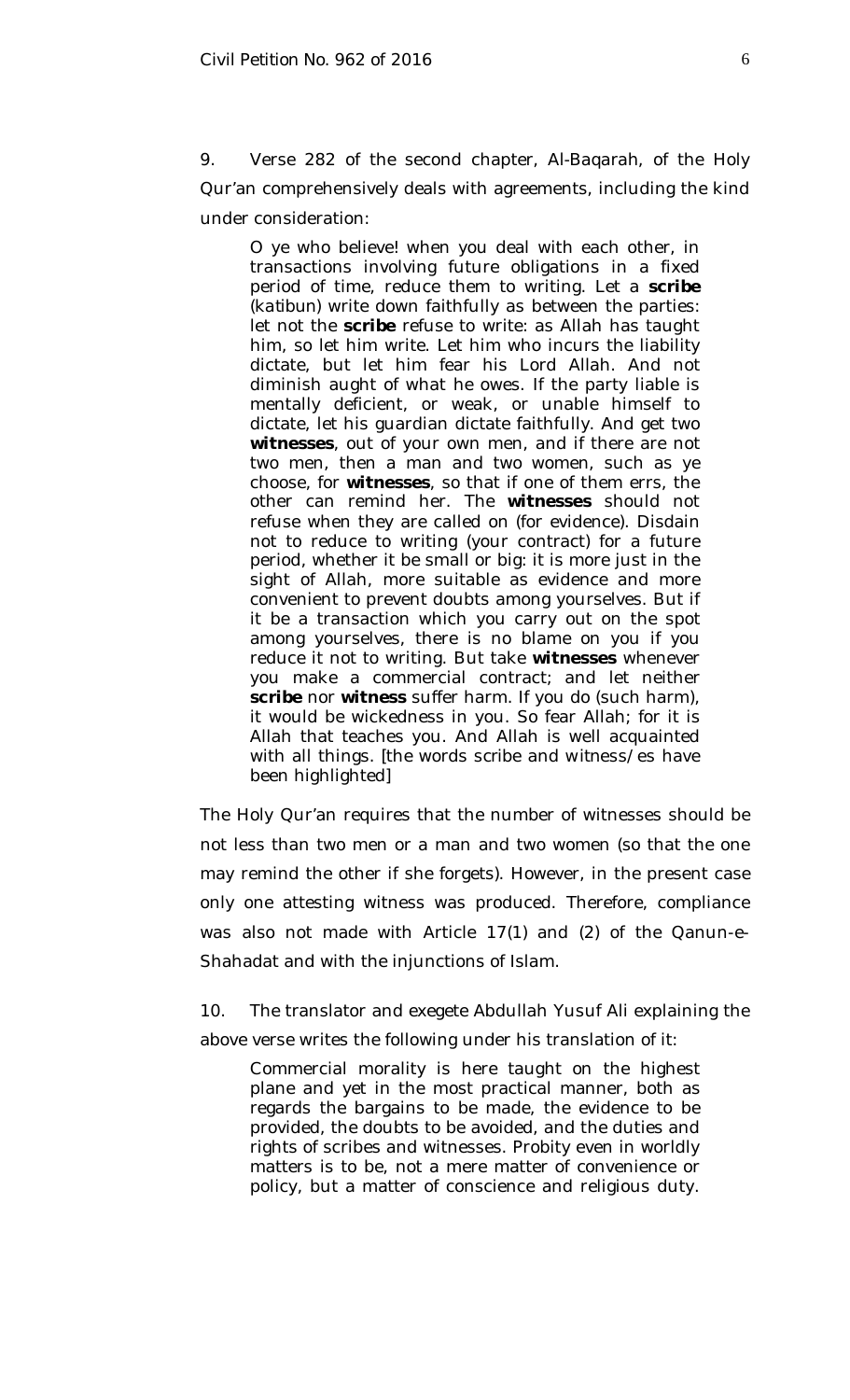9. Verse 282 of the second chapter, *Al-Baqarah*, of the Holy Qur'an comprehensively deals with agreements, including the kind under consideration:

O ye who believe! when you deal with each other, in transactions involving future obligations in a fixed period of time, reduce them to writing. Let a **scribe** (*katibun*) write down faithfully as between the parties: let not the **scribe** refuse to write: as Allah has taught him, so let him write. Let him who incurs the liability dictate, but let him fear his Lord Allah. And not diminish aught of what he owes. If the party liable is mentally deficient, or weak, or unable himself to dictate, let his guardian dictate faithfully. And get two **witnesses**, out of your own men, and if there are not two men, then a man and two women, such as ye choose, for **witnesses**, so that if one of them errs, the other can remind her. The **witnesses** should not refuse when they are called on (for evidence). Disdain not to reduce to writing (your contract) for a future period, whether it be small or big: it is more just in the sight of Allah, more suitable as evidence and more convenient to prevent doubts among yourselves. But if it be a transaction which you carry out on the spot among yourselves, there is no blame on you if you reduce it not to writing. But take **witnesses** whenever you make a commercial contract; and let neither **scribe** nor **witness** suffer harm. If you do (such harm), it would be wickedness in you. So fear Allah; for it is Allah that teaches you. And Allah is well acquainted with all things. [the words *scribe* and *witness/es* have been highlighted]

The Holy Qur'an requires that the number of witnesses should be not less than two men or a man and two women (so that the one may remind the other if she forgets). However, in the present case only one attesting witness was produced. Therefore, compliance was also not made with Article 17(1) and (2) of the Qanun-e-Shahadat and with the injunctions of Islam.

10. The translator and exegete Abdullah Yusuf Ali explaining the above verse writes the following under his translation of it:

Commercial morality is here taught on the highest plane and yet in the most practical manner, both as regards the bargains to be made, the evidence to be provided, the doubts to be avoided, and the duties and rights of scribes and witnesses. Probity even in worldly matters is to be, not a mere matter of convenience or policy, but a matter of conscience and religious duty.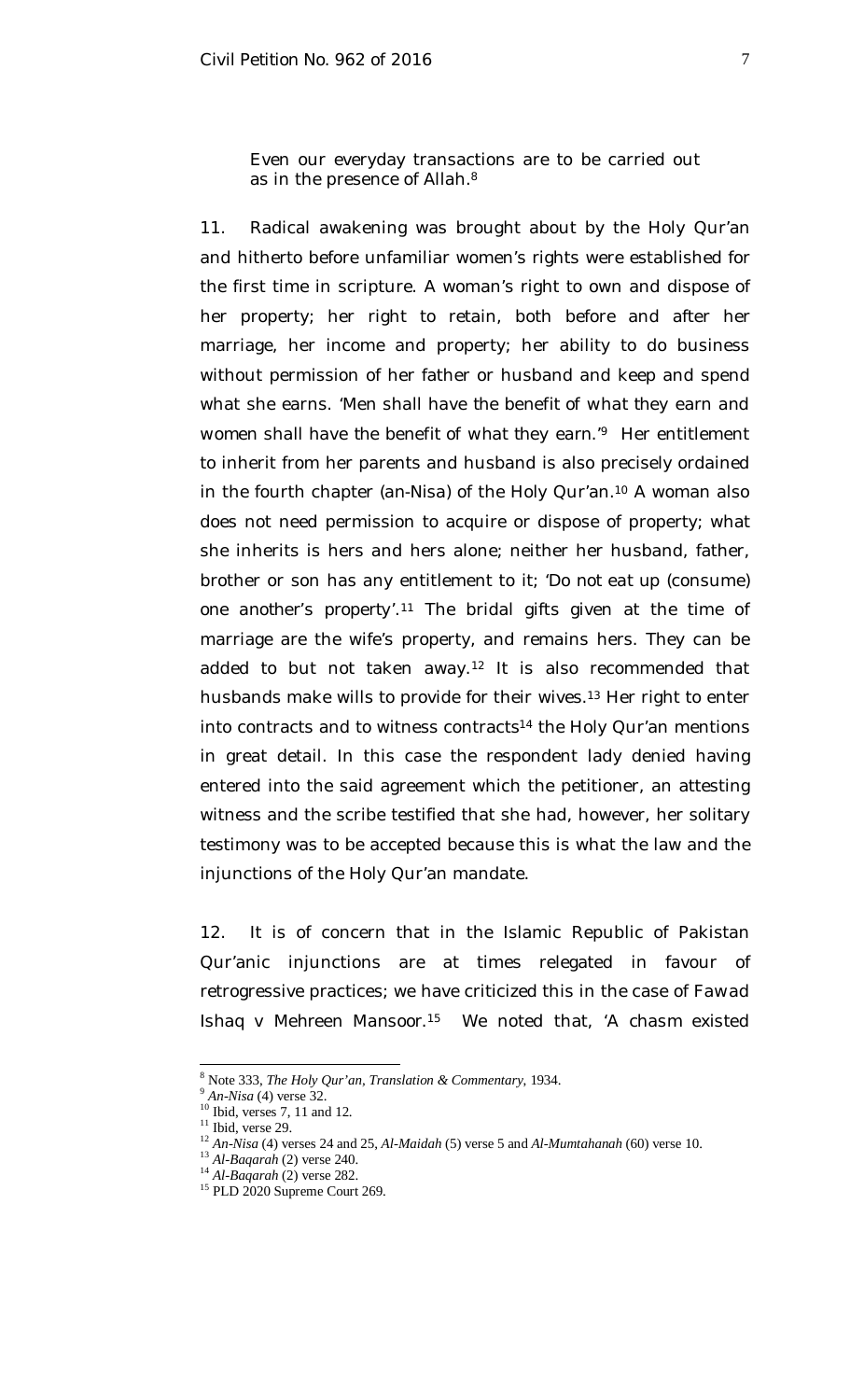Even our everyday transactions are to be carried out as in the presence of Allah.<sup>8</sup>

11. Radical awakening was brought about by the Holy Qur'an and hitherto before unfamiliar women's rights were established for the first time in scripture. A woman's right to own and dispose of her property; her right to retain, both before and after her marriage, her income and property; her ability to do business without permission of her father or husband and keep and spend what she earns. '*Men shall have the benefit of what they earn and women shall have the benefit of what they earn*.'<sup>9</sup> Her entitlement to inherit from her parents and husband is also precisely ordained in the fourth chapter (*an-Nisa*) of the Holy Qur'an. <sup>10</sup> A woman also does not need permission to acquire or dispose of property; what she inherits is hers and hers alone; neither her husband, father, brother or son has any entitlement to it; '*Do not eat up* (consume) *one another's property*'. <sup>11</sup> The bridal gifts given at the time of marriage are the wife's property, and remains hers. They can be added to but not taken away. <sup>12</sup> It is also recommended that husbands make wills to provide for their wives. <sup>13</sup> Her right to enter into contracts and to witness contracts<sup>14</sup> the Holy Qur'an mentions in great detail. In this case the respondent lady denied having entered into the said agreement which the petitioner, an attesting witness and the scribe testified that she had, however, her solitary testimony was to be accepted because this is what the law and the injunctions of the Holy Qur'an mandate.

12. It is of concern that in the Islamic Republic of Pakistan Qur'anic injunctions are at times relegated in favour of retrogressive practices; we have criticized this in the case of *Fawad Ishaq v Mehreen Mansoor*. <sup>15</sup> We noted that, '*A chasm existed* 

<sup>8</sup> Note 333, *The Holy Qur'an, Translation & Commentary*, 1934.

<sup>9</sup> *An-Nisa* (4) verse 32.

 $10$  Ibid, verses 7, 11 and 12.

 $11$  Ibid, verse 29.

<sup>12</sup> *An-Nisa* (4) verses 24 and 25, *Al-Maidah* (5) verse 5 and *Al-Mumtahanah* (60) verse 10.

<sup>13</sup> *Al-Baqarah* (2) verse 240.

<sup>14</sup> *Al-Baqarah* (2) verse 282.

<sup>&</sup>lt;sup>15</sup> PLD 2020 Supreme Court 269.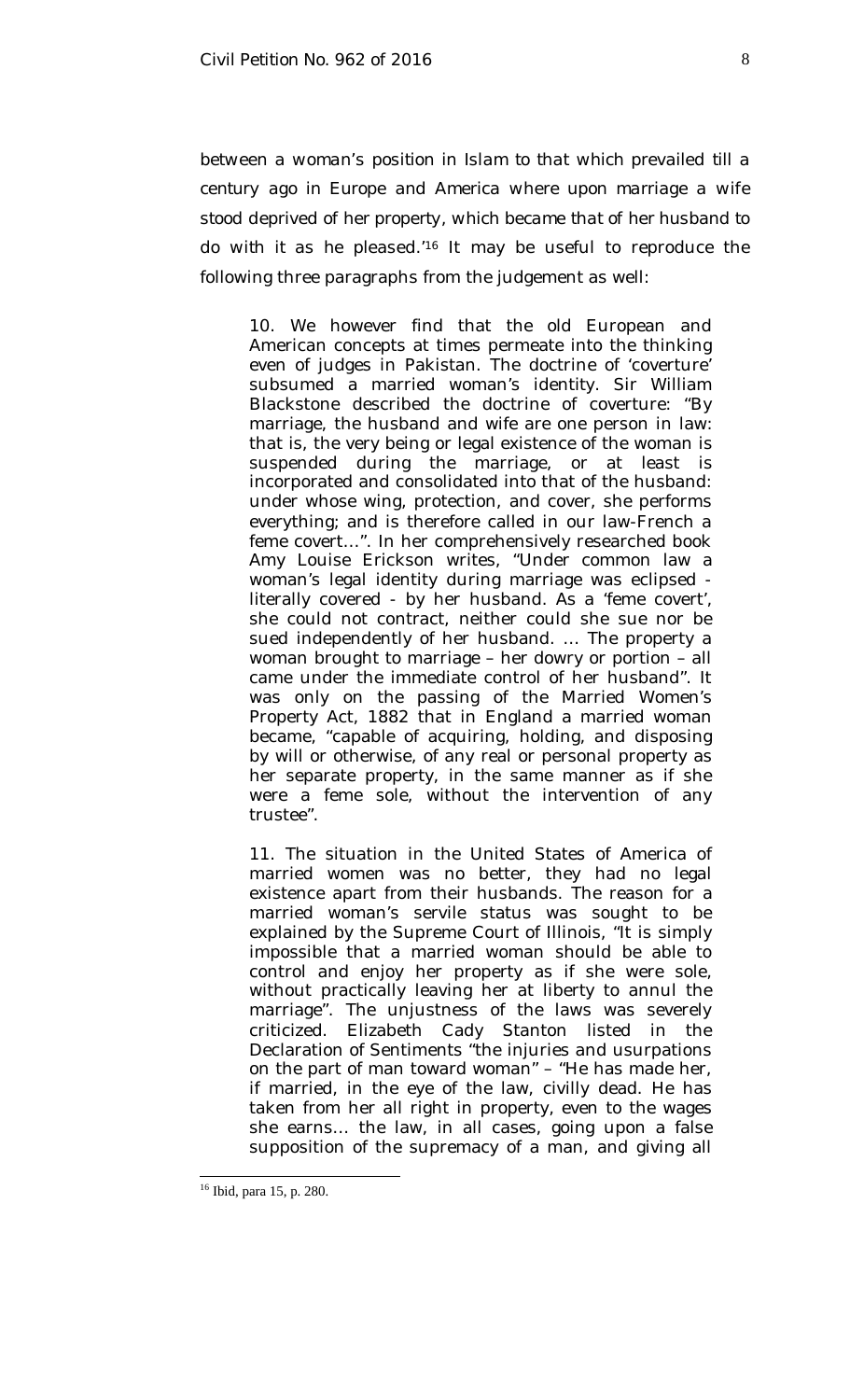*between a woman's position in Islam to that which prevailed till a century ago in Europe and America where upon marriage a wife stood deprived of her property, which became that of her husband to*  do with it as he pleased.<sup>'16</sup> It may be useful to reproduce the following three paragraphs from the judgement as well:

10. We however find that the old European and American concepts at times permeate into the thinking even of judges in Pakistan. The doctrine of 'coverture' subsumed a married woman's identity. Sir William Blackstone described the doctrine of coverture: "By marriage, the husband and wife are one person in law: that is, the very being or legal existence of the woman is suspended during the marriage, or at least is incorporated and consolidated into that of the husband: under whose wing, protection, and cover, she performs everything; and is therefore called in our law-French a feme covert…". In her comprehensively researched book Amy Louise Erickson writes, "Under common law a woman's legal identity during marriage was eclipsed literally covered - by her husband. As a 'feme covert', she could not contract, neither could she sue nor be sued independently of her husband. … The property a woman brought to marriage – her dowry or portion – all came under the immediate control of her husband". It was only on the passing of the Married Women's Property Act, 1882 that in England a married woman became, "capable of acquiring, holding, and disposing by will or otherwise, of any real or personal property as her separate property, in the same manner as if she were a feme sole, without the intervention of any trustee".

11. The situation in the United States of America of married women was no better, they had no legal existence apart from their husbands. The reason for a married woman's servile status was sought to be explained by the Supreme Court of Illinois, "It is simply impossible that a married woman should be able to control and enjoy her property as if she were sole, without practically leaving her at liberty to annul the marriage". The unjustness of the laws was severely criticized. Elizabeth Cady Stanton listed in the Declaration of Sentiments "the injuries and usurpations on the part of man toward woman" – "He has made her, if married, in the eye of the law, civilly dead. He has taken from her all right in property, even to the wages she earns… the law, in all cases, going upon a false supposition of the supremacy of a man, and giving all

<sup>&</sup>lt;sup>16</sup> Ibid, para 15, p. 280.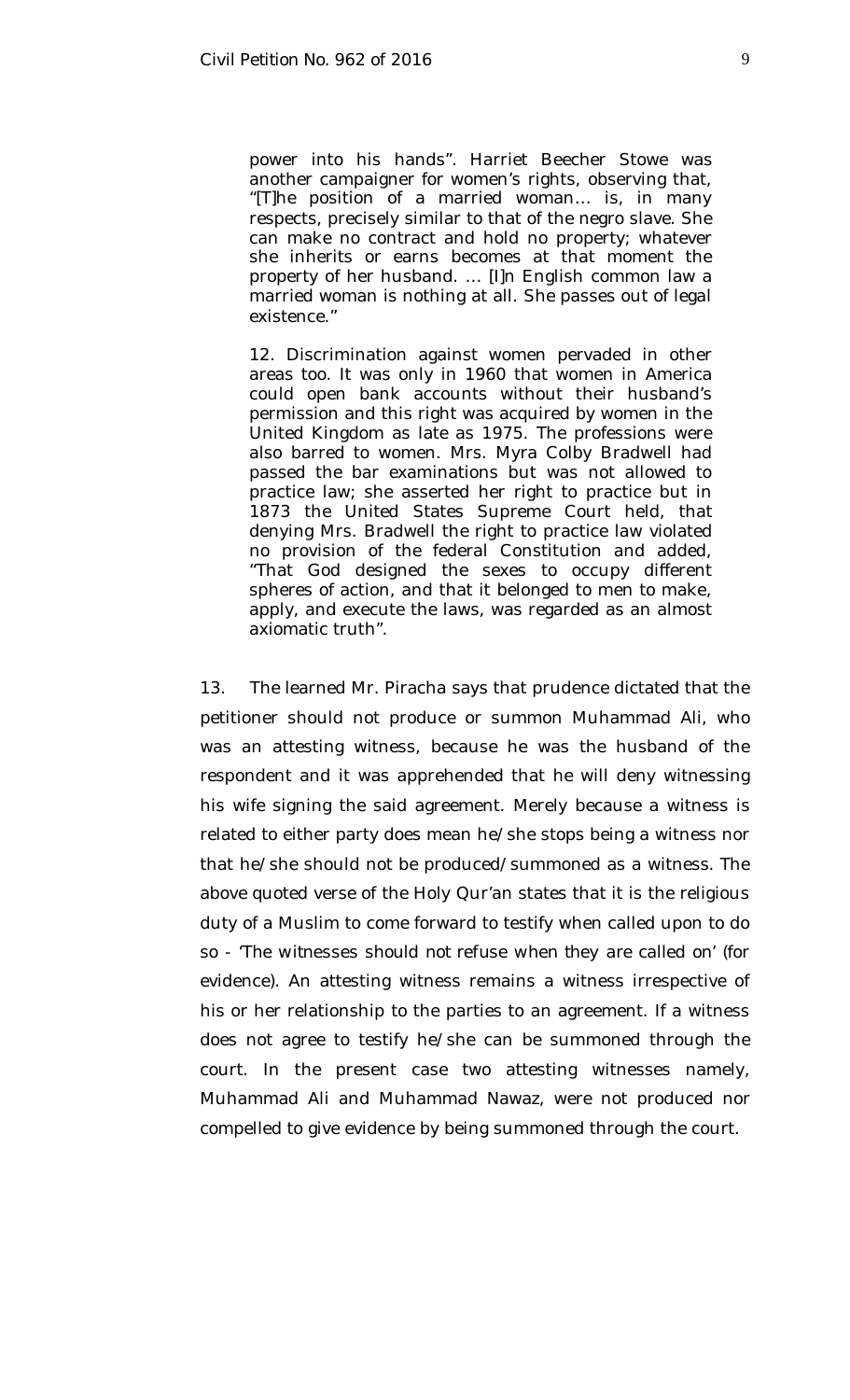power into his hands". Harriet Beecher Stowe was another campaigner for women's rights, observing that, "[T]he position of a married woman… is, in many respects, precisely similar to that of the negro slave. She can make no contract and hold no property; whatever she inherits or earns becomes at that moment the property of her husband. … [I]n English common law a married woman is nothing at all. She passes out of legal existence."

12. Discrimination against women pervaded in other areas too. It was only in 1960 that women in America could open bank accounts without their husband's permission and this right was acquired by women in the United Kingdom as late as 1975. The professions were also barred to women. Mrs. Myra Colby Bradwell had passed the bar examinations but was not allowed to practice law; she asserted her right to practice but in 1873 the United States Supreme Court held, that denying Mrs. Bradwell the right to practice law violated no provision of the federal Constitution and added, "That God designed the sexes to occupy different spheres of action, and that it belonged to men to make, apply, and execute the laws, was regarded as an almost axiomatic truth".

13. The learned Mr. Piracha says that prudence dictated that the petitioner should not produce or summon Muhammad Ali, who was an attesting witness, because he was the husband of the respondent and it was apprehended that he will deny witnessing his wife signing the said agreement. Merely because a witness is related to either party does mean he/she stops being a witness nor that he/she should not be produced/summoned as a witness. The above quoted verse of the Holy Qur'an states that it is the religious duty of a Muslim to come forward to testify when called upon to do so - '*The witnesses should not refuse when they are called on*' (for evidence). An attesting witness remains a witness irrespective of his or her relationship to the parties to an agreement. If a witness does not agree to testify he/she can be summoned through the court. In the present case two attesting witnesses namely, Muhammad Ali and Muhammad Nawaz, were not produced nor compelled to give evidence by being summoned through the court.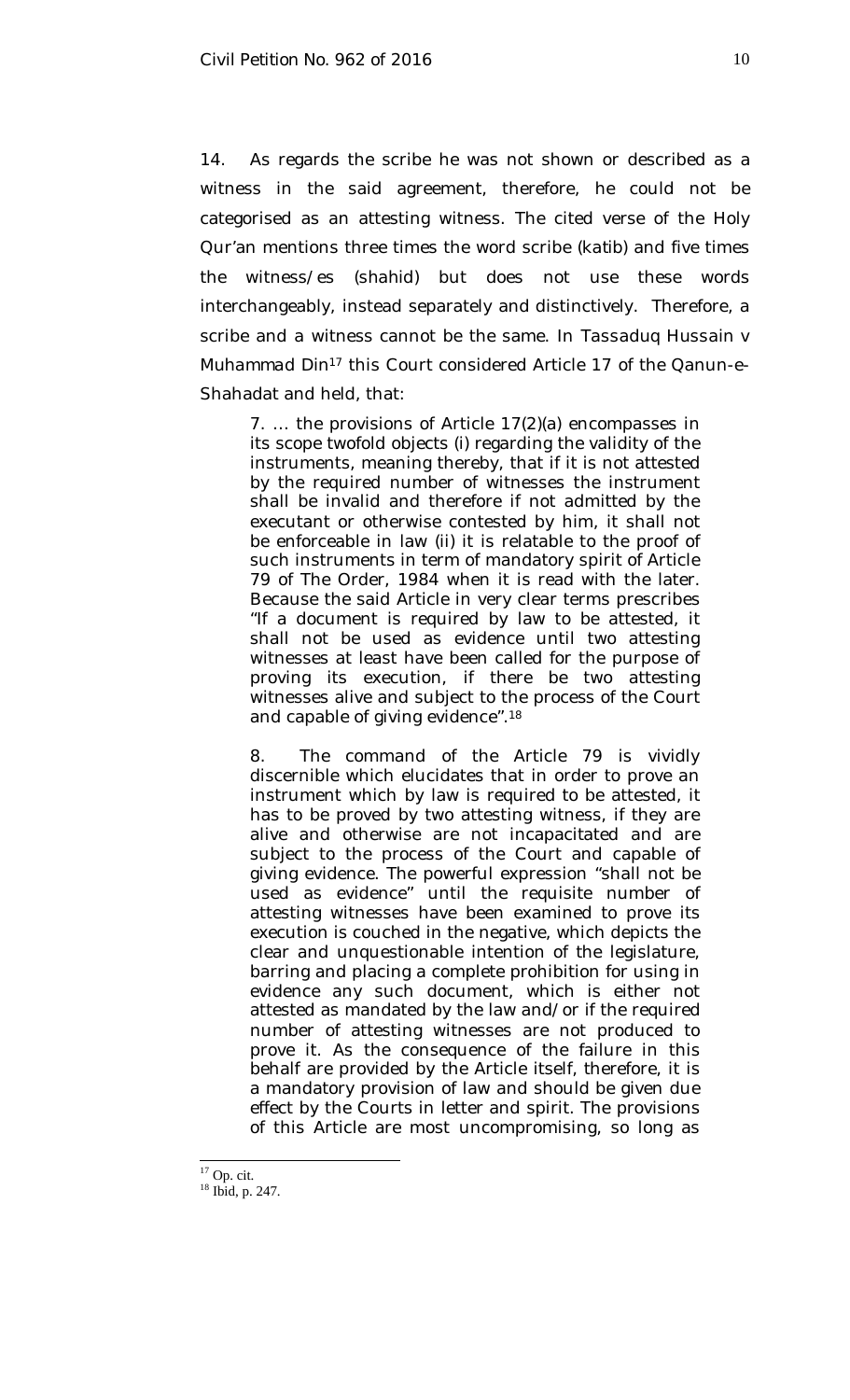14. As regards the scribe he was not shown or described as a witness in the said agreement, therefore, he could not be categorised as an attesting witness. The cited verse of the Holy Qur'an mentions three times the word scribe (*katib*) and five times the witness/es (*shahid*) but does not use these words interchangeably, instead separately and distinctively. Therefore, a scribe and a witness cannot be the same. In *Tassaduq Hussain v Muhammad Din<sup>17</sup>* this Court considered Article 17 of the Qanun-e-Shahadat and held, that:

7. … the provisions of Article 17(2)(a) encompasses in its scope twofold objects (i) regarding the validity of the instruments, meaning thereby, that if it is not attested by the required number of witnesses the instrument shall be invalid and therefore if not admitted by the executant or otherwise contested by him, it shall not be enforceable in law (ii) it is relatable to the proof of such instruments in term of mandatory spirit of Article 79 of The Order, 1984 when it is read with the later. Because the said Article in very clear terms prescribes "If a document is required by law to be attested, it shall not be used as evidence until two attesting witnesses at least have been called for the purpose of proving its execution, if there be two attesting witnesses alive and subject to the process of the Court and capable of giving evidence".<sup>18</sup>

8. The command of the Article 79 is vividly discernible which elucidates that in order to prove an instrument which by law is required to be attested, it has to be proved by two attesting witness, if they are alive and otherwise are not incapacitated and are subject to the process of the Court and capable of giving evidence. The powerful expression "shall not be used as evidence" until the requisite number of attesting witnesses have been examined to prove its execution is couched in the negative, which depicts the clear and unquestionable intention of the legislature, barring and placing a complete prohibition for using in evidence any such document, which is either not attested as mandated by the law and/or if the required number of attesting witnesses are not produced to prove it. As the consequence of the failure in this behalf are provided by the Article itself, therefore, it is a mandatory provision of law and should be given due effect by the Courts in letter and spirit. The provisions of this Article are most uncompromising, so long as

 $\overline{a}$  $17$  Op. cit.

<sup>18</sup> Ibid, p. 247.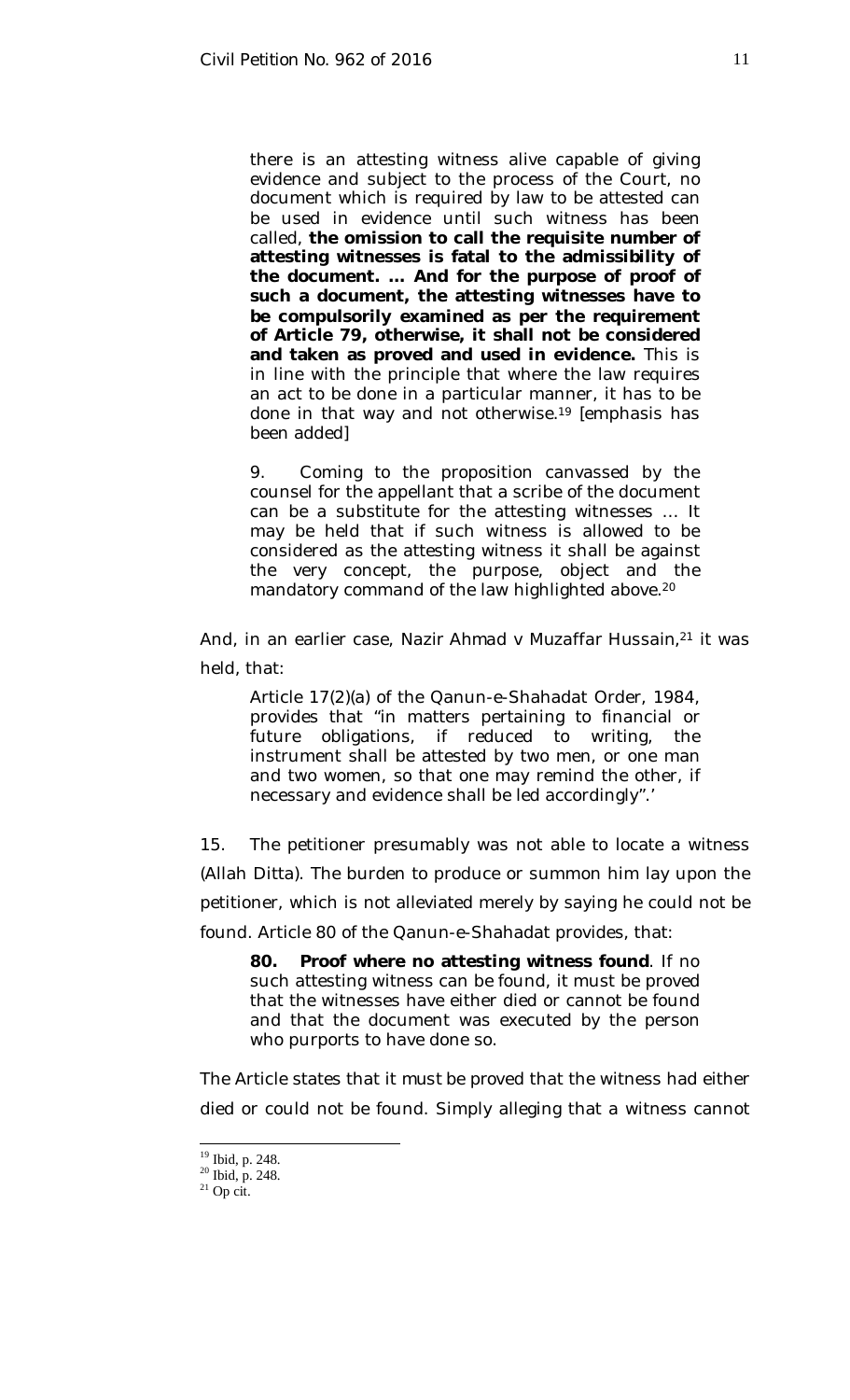there is an attesting witness alive capable of giving evidence and subject to the process of the Court, no document which is required by law to be attested can be used in evidence until such witness has been called, **the omission to call the requisite number of attesting witnesses is fatal to the admissibility of the document. … And for the purpose of proof of such a document, the attesting witnesses have to be compulsorily examined as per the requirement of Article 79, otherwise, it shall not be considered and taken as proved and used in evidence.** This is in line with the principle that where the law requires an act to be done in a particular manner, it has to be done in that way and not otherwise.<sup>19</sup> [emphasis has been added]

9. Coming to the proposition canvassed by the counsel for the appellant that a scribe of the document can be a substitute for the attesting witnesses … It may be held that if such witness is allowed to be considered as the attesting witness it shall be against the very concept, the purpose, object and the mandatory command of the law highlighted above.<sup>20</sup>

And, in an earlier case, *Nazir Ahmad v Muzaffar Hussain,* <sup>21</sup> it was held, that:

Article 17(2)(a) of the Qanun-e-Shahadat Order, 1984, provides that "in matters pertaining to financial or future obligations, if reduced to writing, the instrument shall be attested by two men, or one man and two women, so that one may remind the other, if necessary and evidence shall be led accordingly".'

15. The petitioner presumably was not able to locate a witness (Allah Ditta). The burden to produce or summon him lay upon the petitioner, which is not alleviated merely by saying he could not be found. Article 80 of the Qanun-e-Shahadat provides, that:

**80. Proof where no attesting witness found**. If no such attesting witness can be found, it must be proved that the witnesses have either died or cannot be found and that the document was executed by the person who purports to have done so.

The Article states that it *must be proved* that the witness had either died or could not be found. Simply alleging that a witness cannot

 $^{21}$  Op cit.

 $19$  Ibid, p. 248.

<sup>20</sup> Ibid, p. 248.